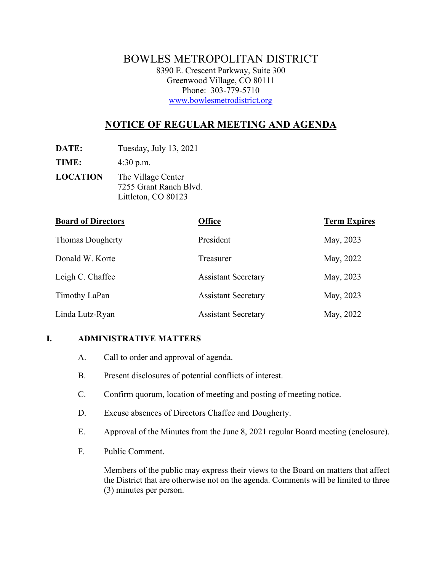# BOWLES METROPOLITAN DISTRICT 8390 E. Crescent Parkway, Suite 300 Greenwood Village, CO 80111 Phone: 303-779-5710 [www.bowlesmetrodistrict.org](http://www.bowlesmetrodistrict.org/)

# **NOTICE OF REGULAR MEETING AND AGENDA**

**DATE:** Tuesday, July 13, 2021

**TIME:** 4:30 p.m.

**LOCATION** The Village Center 7255 Grant Ranch Blvd. Littleton, CO 80123

| <b>Board of Directors</b> | <b>Office</b>              | <b>Term Expires</b> |
|---------------------------|----------------------------|---------------------|
| <b>Thomas Dougherty</b>   | President                  | May, 2023           |
| Donald W. Korte           | Treasurer                  | May, 2022           |
| Leigh C. Chaffee          | <b>Assistant Secretary</b> | May, 2023           |
| Timothy LaPan             | <b>Assistant Secretary</b> | May, 2023           |
| Linda Lutz-Ryan           | <b>Assistant Secretary</b> | May, 2022           |

#### **I. ADMINISTRATIVE MATTERS**

- A. Call to order and approval of agenda.
- B. Present disclosures of potential conflicts of interest.
- C. Confirm quorum, location of meeting and posting of meeting notice.
- D. Excuse absences of Directors Chaffee and Dougherty.
- E. Approval of the Minutes from the June 8, 2021 regular Board meeting (enclosure).
- F. Public Comment.

Members of the public may express their views to the Board on matters that affect the District that are otherwise not on the agenda. Comments will be limited to three (3) minutes per person.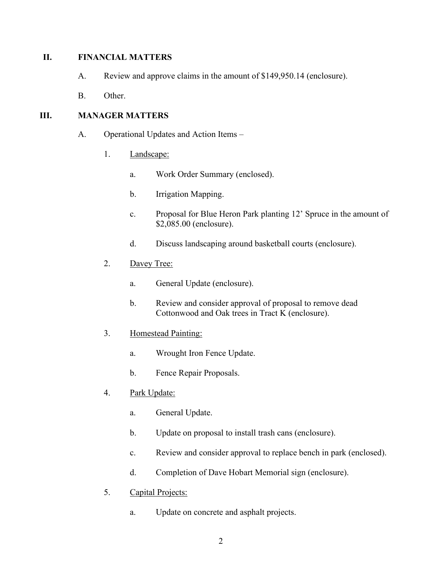#### **II. FINANCIAL MATTERS**

- A. Review and approve claims in the amount of \$149,950.14 (enclosure).
- B. Other.

# **III. MANAGER MATTERS**

- A. Operational Updates and Action Items
	- 1. Landscape:
		- a. Work Order Summary (enclosed).
		- b. Irrigation Mapping.
		- c. Proposal for Blue Heron Park planting 12' Spruce in the amount of \$2,085.00 (enclosure).
		- d. Discuss landscaping around basketball courts (enclosure).
	- 2. Davey Tree:
		- a. General Update (enclosure).
		- b. Review and consider approval of proposal to remove dead Cottonwood and Oak trees in Tract K (enclosure).
	- 3. Homestead Painting:
		- a. Wrought Iron Fence Update.
		- b. Fence Repair Proposals.
	- 4. Park Update:
		- a. General Update.
		- b. Update on proposal to install trash cans (enclosure).
		- c. Review and consider approval to replace bench in park (enclosed).
		- d. Completion of Dave Hobart Memorial sign (enclosure).
	- 5. Capital Projects:
		- a. Update on concrete and asphalt projects.